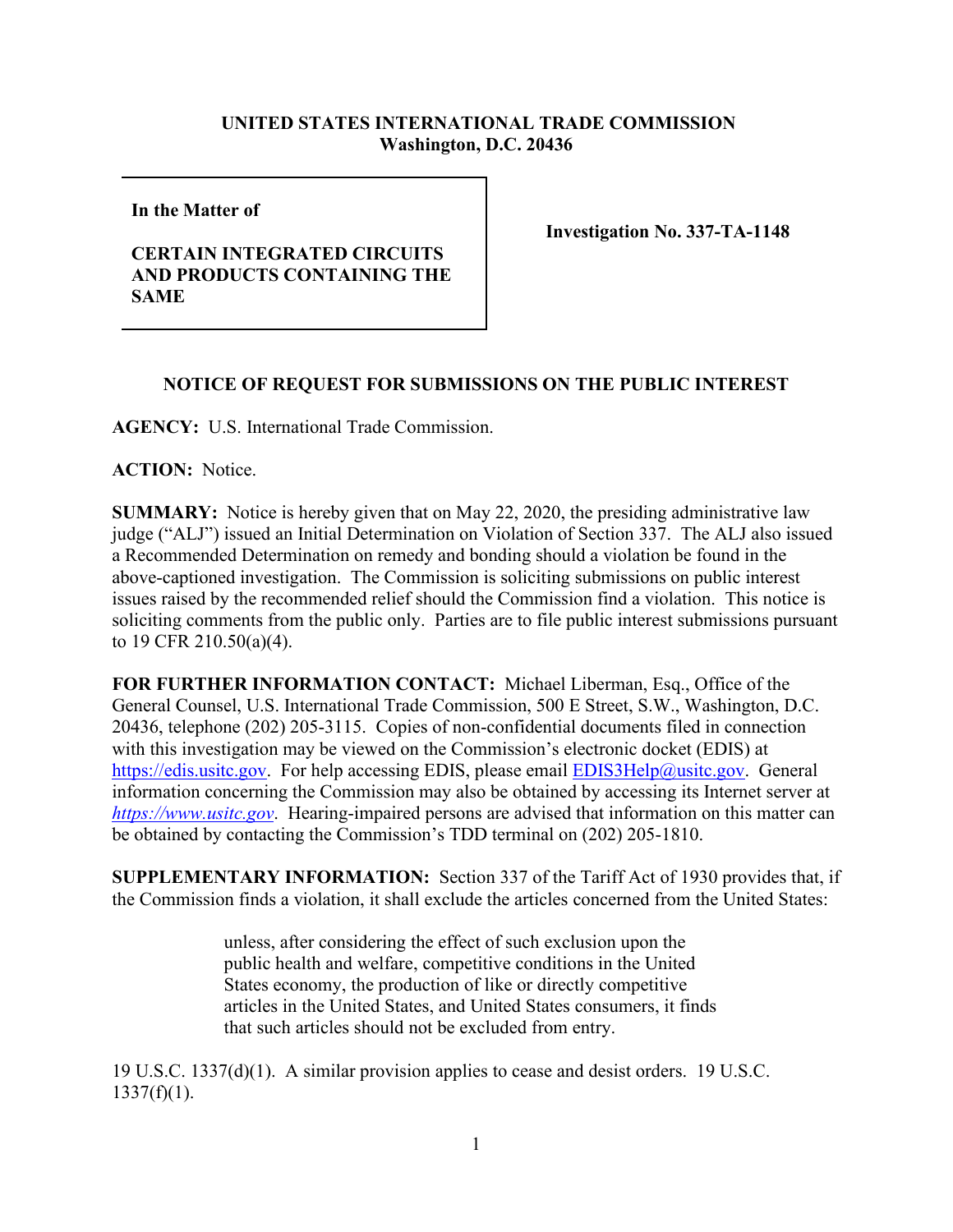## **UNITED STATES INTERNATIONAL TRADE COMMISSION Washington, D.C. 20436**

**In the Matter of** 

## **CERTAIN INTEGRATED CIRCUITS AND PRODUCTS CONTAINING THE SAME**

**Investigation No. 337-TA-1148**

## **NOTICE OF REQUEST FOR SUBMISSIONS ON THE PUBLIC INTEREST**

**AGENCY:** U.S. International Trade Commission.

**ACTION:** Notice.

**SUMMARY:** Notice is hereby given that on May 22, 2020, the presiding administrative law judge ("ALJ") issued an Initial Determination on Violation of Section 337. The ALJ also issued a Recommended Determination on remedy and bonding should a violation be found in the above-captioned investigation. The Commission is soliciting submissions on public interest issues raised by the recommended relief should the Commission find a violation. This notice is soliciting comments from the public only. Parties are to file public interest submissions pursuant to 19 CFR 210.50(a)(4).

**FOR FURTHER INFORMATION CONTACT:** Michael Liberman, Esq., Office of the General Counsel, U.S. International Trade Commission, 500 E Street, S.W., Washington, D.C. 20436, telephone (202) 205-3115. Copies of non-confidential documents filed in connection with this investigation may be viewed on the Commission's electronic docket (EDIS) at [https://edis.usitc.gov.](https://edis.usitc.gov/) For help accessing EDIS, please email [EDIS3Help@usitc.gov.](mailto:EDIS3Help@usitc.gov) General information concerning the Commission may also be obtained by accessing its Internet server at *[https://www.usitc.gov](https://www.usitc.gov/)*. Hearing-impaired persons are advised that information on this matter can be obtained by contacting the Commission's TDD terminal on (202) 205-1810.

**SUPPLEMENTARY INFORMATION:** Section 337 of the Tariff Act of 1930 provides that, if the Commission finds a violation, it shall exclude the articles concerned from the United States:

> unless, after considering the effect of such exclusion upon the public health and welfare, competitive conditions in the United States economy, the production of like or directly competitive articles in the United States, and United States consumers, it finds that such articles should not be excluded from entry.

19 U.S.C. 1337(d)(1). A similar provision applies to cease and desist orders. 19 U.S.C.  $1337(f)(1)$ .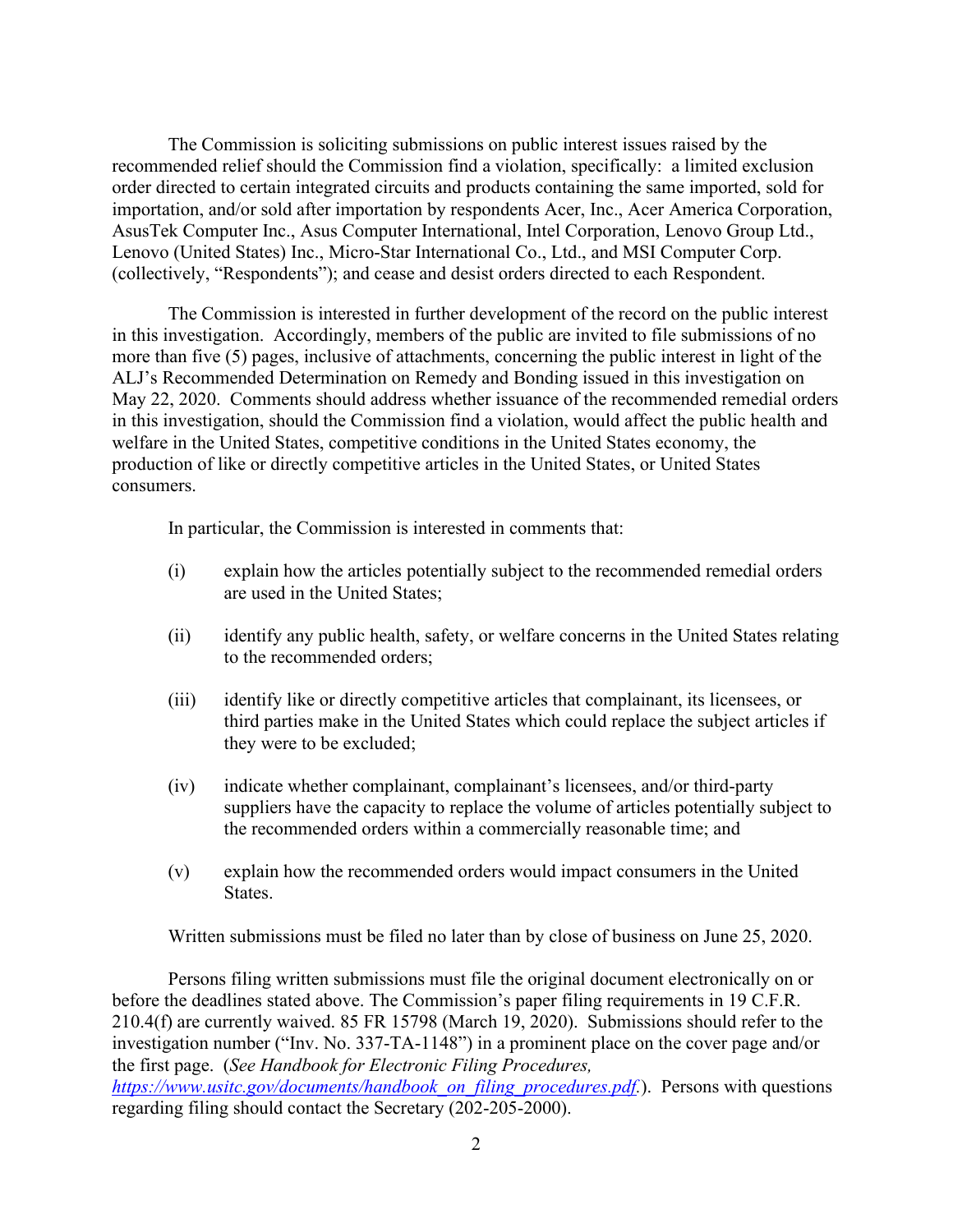The Commission is soliciting submissions on public interest issues raised by the recommended relief should the Commission find a violation, specifically: a limited exclusion order directed to certain integrated circuits and products containing the same imported, sold for importation, and/or sold after importation by respondents Acer, Inc., Acer America Corporation, AsusTek Computer Inc., Asus Computer International, Intel Corporation, Lenovo Group Ltd., Lenovo (United States) Inc., Micro-Star International Co., Ltd., and MSI Computer Corp. (collectively, "Respondents"); and cease and desist orders directed to each Respondent.

The Commission is interested in further development of the record on the public interest in this investigation. Accordingly, members of the public are invited to file submissions of no more than five (5) pages, inclusive of attachments, concerning the public interest in light of the ALJ's Recommended Determination on Remedy and Bonding issued in this investigation on May 22, 2020. Comments should address whether issuance of the recommended remedial orders in this investigation, should the Commission find a violation, would affect the public health and welfare in the United States, competitive conditions in the United States economy, the production of like or directly competitive articles in the United States, or United States consumers.

In particular, the Commission is interested in comments that:

- (i) explain how the articles potentially subject to the recommended remedial orders are used in the United States;
- (ii) identify any public health, safety, or welfare concerns in the United States relating to the recommended orders;
- (iii) identify like or directly competitive articles that complainant, its licensees, or third parties make in the United States which could replace the subject articles if they were to be excluded;
- (iv) indicate whether complainant, complainant's licensees, and/or third-party suppliers have the capacity to replace the volume of articles potentially subject to the recommended orders within a commercially reasonable time; and
- (v) explain how the recommended orders would impact consumers in the United States.

Written submissions must be filed no later than by close of business on June 25, 2020.

Persons filing written submissions must file the original document electronically on or before the deadlines stated above. The Commission's paper filing requirements in 19 C.F.R. 210.4(f) are currently waived. 85 FR 15798 (March 19, 2020). Submissions should refer to the investigation number ("Inv. No. 337-TA-1148") in a prominent place on the cover page and/or the first page. (*See Handbook for Electronic Filing Procedures, [https://www.usitc.gov/documents/handbook\\_on\\_filing\\_procedures.pdf.](https://www.usitc.gov/documents/handbook_on_filing_procedures.pdf)*). Persons with questions regarding filing should contact the Secretary (202-205-2000).